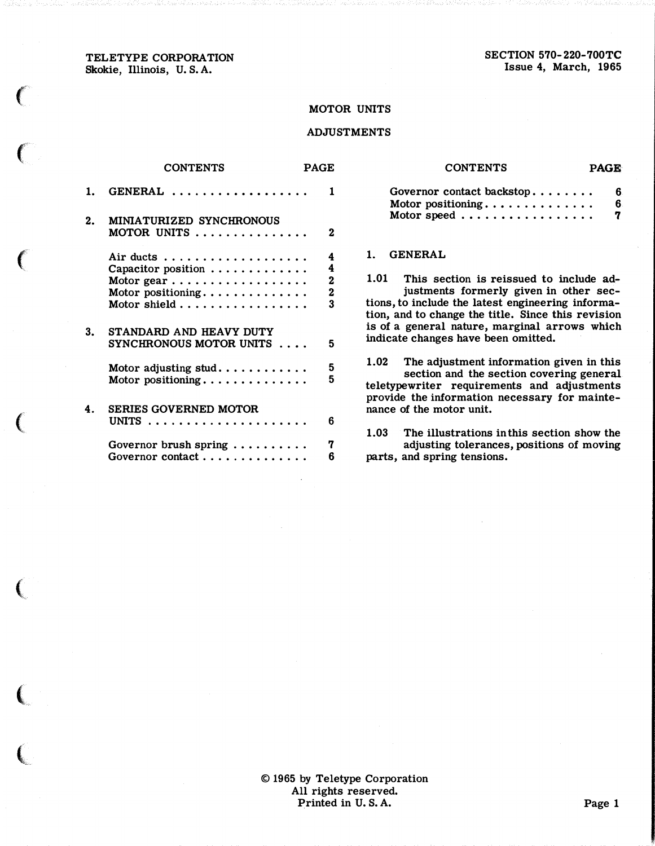#### TELETYPE CORPORATION Skokie, Illinois, U. S. A.

 $\epsilon$ 

 $\left($ 

 $\epsilon$ 

 $\big($ 

 $\big($ 

 $\big($ 

 $\big($ 

SECTION 570-220-700TC Issue 4, March, 1965

#### MOTOR UNITS

#### ADJUSTMENTS

|    | <b>CONTENTS</b>                                    | PAGE                                                    | <b>CONTENTS</b>                                                                                                                                                                                      | PAGE   |
|----|----------------------------------------------------|---------------------------------------------------------|------------------------------------------------------------------------------------------------------------------------------------------------------------------------------------------------------|--------|
| 1. | GENERAL                                            | 1                                                       | Governor contact backstop<br>Motor positioning                                                                                                                                                       | 6<br>6 |
| 2. | MINIATURIZED SYNCHRONOUS<br>MOTOR UNITS            | 2                                                       | Motor speed                                                                                                                                                                                          | 7      |
|    | Capacitor position                                 | 4<br>4                                                  | <b>GENERAL</b><br>$1_{-}$                                                                                                                                                                            |        |
|    | Motor positioning<br>Motor shield                  | $\overline{\mathbf{2}}$<br>$\overline{\mathbf{2}}$<br>3 | This section is reissued to include ad-<br>1.01<br>justments formerly given in other sec-<br>tions, to include the latest engineering informa-<br>tion, and to change the title. Since this revision |        |
| 3. | STANDARD AND HEAVY DUTY<br>SYNCHRONOUS MOTOR UNITS | 5                                                       | is of a general nature, marginal arrows which<br>indicate changes have been omitted.                                                                                                                 |        |
|    | Motor adjusting stud<br>Motor positioning          | $\overline{\mathbf{5}}$<br>5                            | 1.02<br>The adjustment information given in this<br>section and the section covering general<br>teletypewriter requirements and adjustments<br>provide the information necessary for mainte-         |        |
| 4. | <b>SERIES GOVERNED MOTOR</b>                       | 6                                                       | nance of the motor unit.                                                                                                                                                                             |        |
|    | Governor brush spring<br>Governor contact          | 7<br>6                                                  | 1.03<br>The illustrations in this section show the<br>adjusting tolerances, positions of moving<br>parts, and spring tensions.                                                                       |        |

| Governor contact backstop |  |  |  |  |  |  | 6. |
|---------------------------|--|--|--|--|--|--|----|
| Motor positioning         |  |  |  |  |  |  | 6. |
| Motor speed               |  |  |  |  |  |  | 7  |

#### 1. GENERAL

© 1965 by Teletype Corporation All rights reserved. Printed in U.S.A. Page 1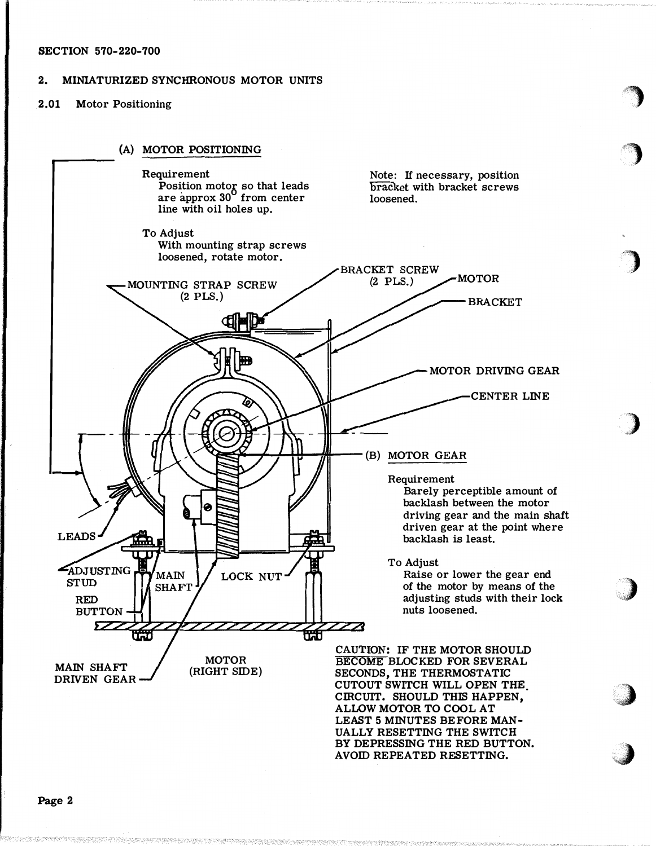#### SECTION 570-220-700

### 2. MINIATURIZED SYNCHRONOUS MOTOR UNITS

## 2.01 Motor Positioning



,)

 $\sim$  , where  $\sim$ 

),, ,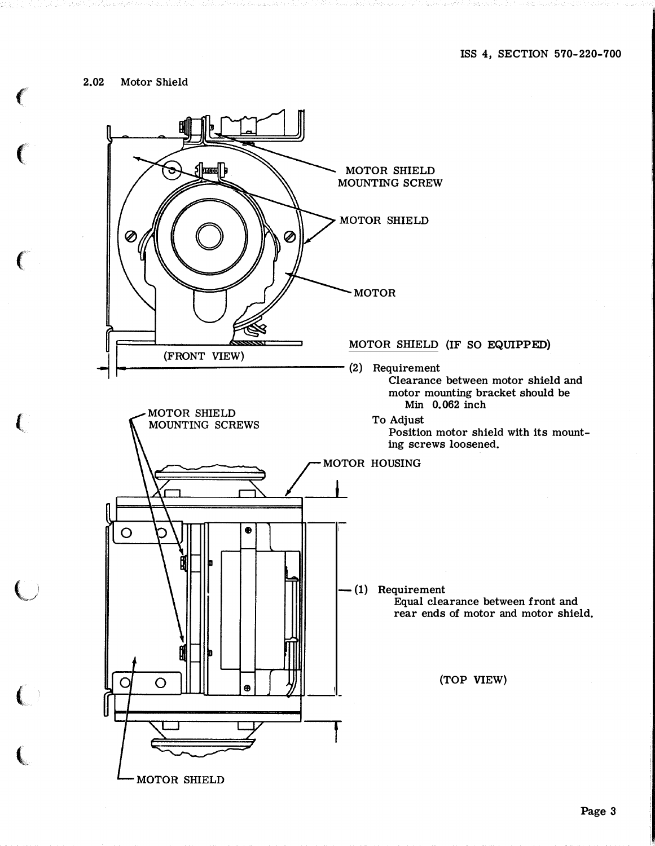2.02 Motor Shield

f

 $\big($ 

 $\epsilon$ 

(

 $\overline{\mathbb{C}}$ 

 $\big($ 

t

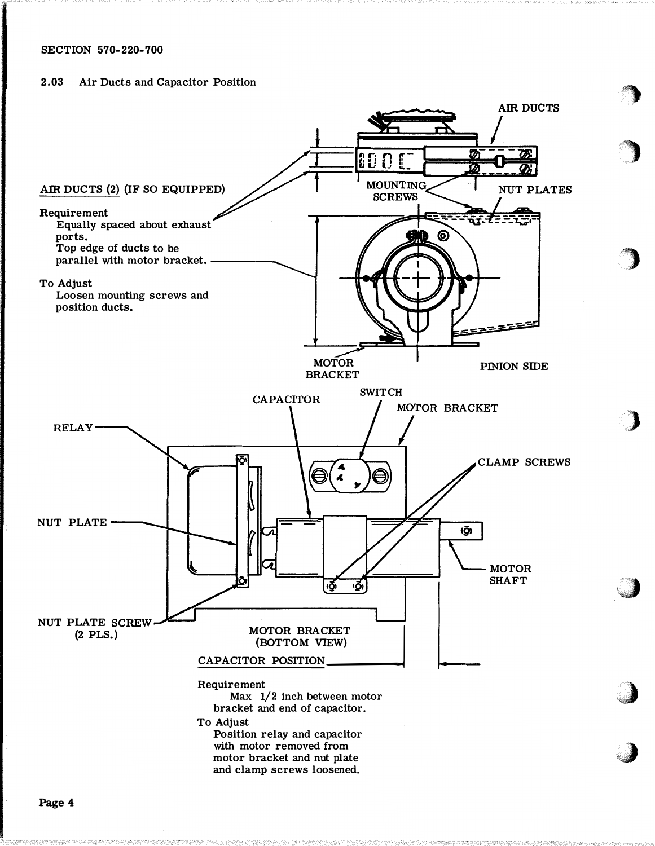## SECTION 570-220-700

#### 2.03 Air Ducts and Capacitor Position



Page 4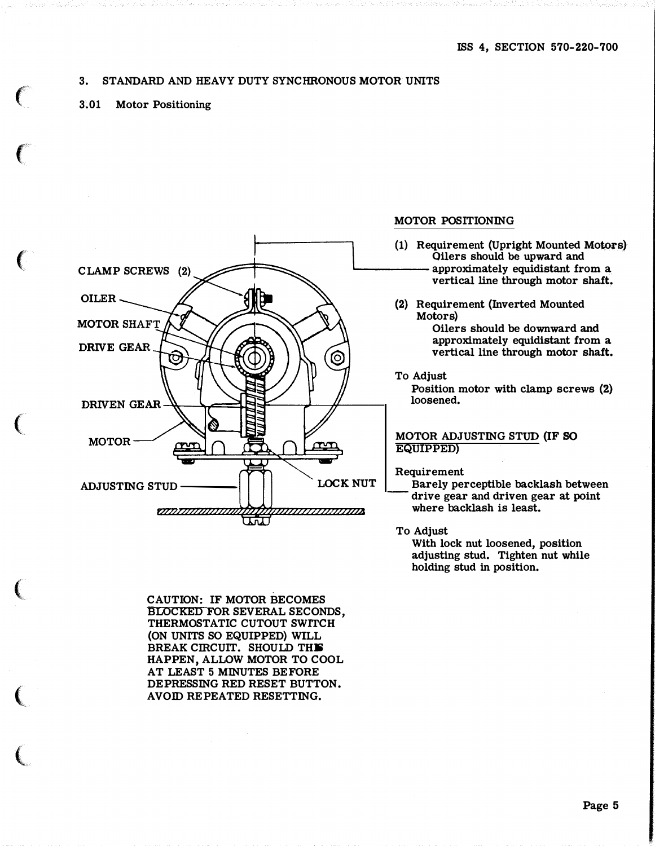### 3. STANDARD AND HEAVY DUTY SYNCHRONOUS MOTOR UNITS

3�01 Motor Positioning

 $\epsilon$ 

 $\epsilon$ 

 $\left($ 

 $\big($ 

 $\big($ 

 $\big($ 

 $\big($ 



CAUTION: IF MOTOR BECOMES BLOCKED FOR SEVERAL SECONDS, THERMOSTATIC CUTOUT SWITCH (ON UNITS SO EQUIPPED) WILL BREAK CIRCUIT. SHOULD THIS HAPPEN, ALLOW MOTOR TO COOL AT LEAST 5 MINUTES BEFORE DEPRESSING RED RESET BUTTON. AVOID REPEATED RESETTING.

#### MOTOR POSITIONING

- (1) Requirement (Upright Mounted Mo�rs) Oilers should be upward and approximately equidistant from a vertical line through motor shaft.
- (2) Requirement (Inverted Mounted Motors)

Oilers should be downward and approximately equidistant from a vertical line through motor shaft.

To Adjust

Position motor with clamp screws (2) loosened.

#### MOTOR ADJUSTING STUD (IF SO EQUIPPED)

Requirement

Barely perceptible backlash between drive gear and driven gear at point where backlash is least.

To Adjust

With lock nut loosened, position adjusting stud. Tighten nut while holding stud in position.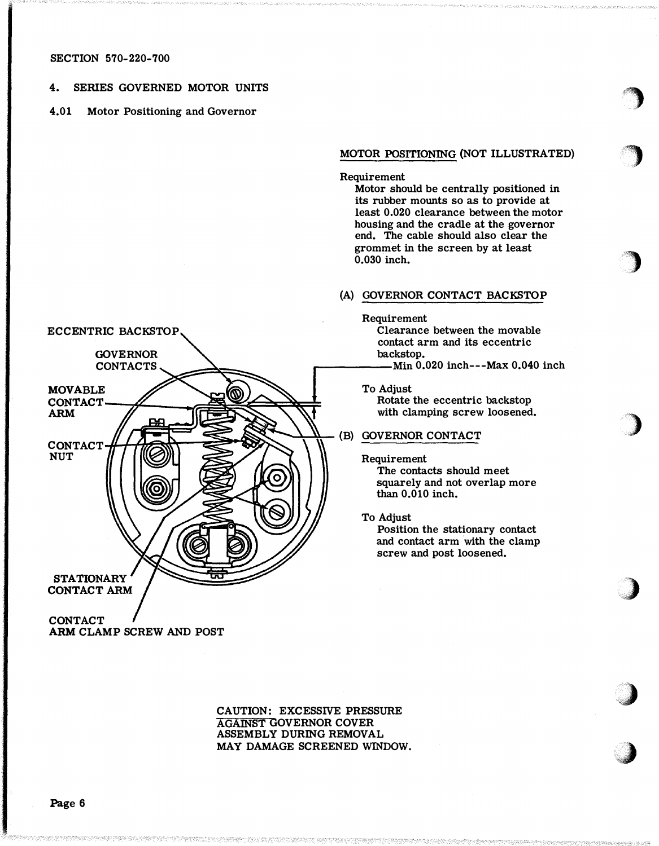#### SECTION 570-220-700

ECCENTRIC BACKSTOP

#### 4. SERIES GOVERNED MOTOR UNITS

#### 4.01 Motor Positioning and Governor

# MOTOR POSITIONING (NOT ILLUSTRATED) ,

 $\blacksquare$  $\mathcal{F}$ 

 $\begin{array}{c} \hline \end{array}$ 

)

)

**.com** 

.J

Requirement

Motor should be centrally positioned in its rubber mounts so as to provide at least 0.020 clearance between the motor housing and the cradle at the governor end. The cable should also clear the grommet in the screen by at least  $0.030$  inch.

#### (A) GOVERNOR CONTACT BACKSTOP

Requirement

Clearance between the movable contact arm and its eccentric backstop.

Rotate the eccentric backstop with clamping screw loosened.

Requirement The contacts should meet squarely and not overlap more than 0.010 inch.

To Adjust

Position the stationary contact and contact arm with the clamp screw and post loosened.

**GOVERNOR**  $CONTACS \sim$   $\qquad \qquad$   $\qquad \qquad$   $\qquad \qquad$   $\qquad \qquad$   $\qquad \qquad$   $\qquad$   $\qquad \qquad$   $\qquad$   $\qquad$   $\qquad$   $\qquad$   $\qquad$   $\qquad$   $\qquad$   $\qquad$   $\qquad$   $\qquad$   $\qquad$   $\qquad$   $\qquad$   $\qquad$   $\qquad$   $\qquad$   $\qquad$   $\qquad$   $\qquad$   $\qquad$   $\qquad$   $\qquad$   $\qquad$   $\qquad$   $\qquad$   $\qquad$ MOVABLE  $\left(\bigcap_{n=1}^{\infty} \mathbb{R}^n\right)$  To Adjust CONTACT  $/$   $\sqrt{1}$   $\sqrt{1}$ ARM C ONTACT • Q j I Fir """ q�!? �·� - \ '1. (B) GOVERNOR CONTACT NUT ົດ **STATIONARY CONTACT ARM CONTACT** 

ARM CLAMP SCREW AND POST

CAUTION: EXCESSIVE PRESSURE AGAINST GOVERNOR COVER ASSEMBLY DURING REMOVAL MAY DAMAGE SCREENED WINDOW.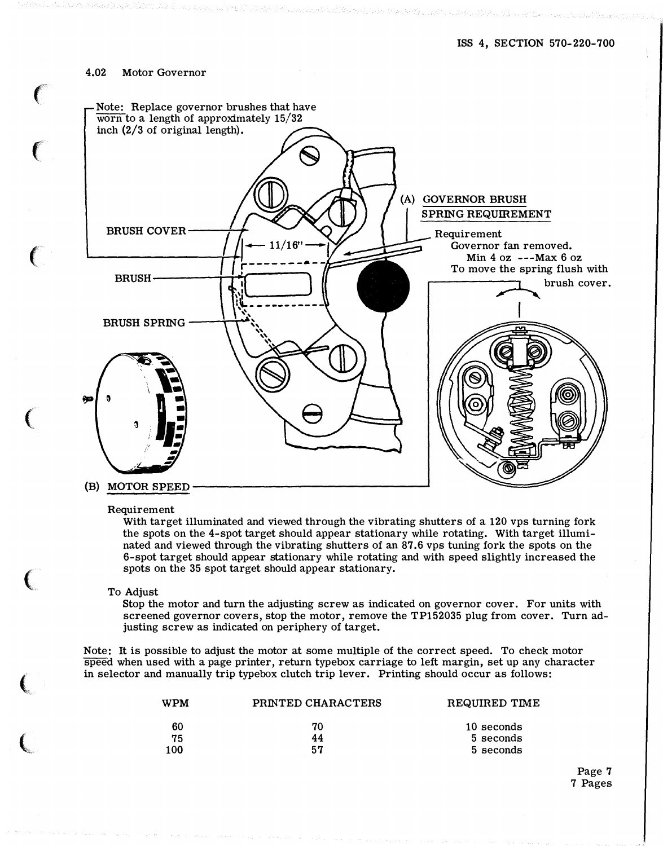#### 4.02 Motor Governor

 $\left($ 

(

 $\big($ 

(

 $\big($ 



Requirement

With target illuminated and viewed through the vibrating shutters of a 120 vps turning fork the spots on the 4-spot target should appear stationary while rotating. With target illuminated and viewed through the vibrating shutters of an 87.6 vps tuning fork the spots on the 6-spot target should appear stationary while rotating and with speed slightly increased the spots on the 35 spot target should appear stationary.

To Adjust

Stop the motor and turn the adjusting screw as indicated on governor cover. For units with screened governor covers, stop the motor, remove the TP152035 plug from cover. Turn adjusting screw as indicated on periphery of target.

Note: It is possible to adjust the motor at some multiple of the correct speed. To check motor speed when used with a page printer, return type box carriage to left margin, set up any character in selector and manually trip typebox clutch trip lever. Printing should occur as follows:

| <b>WPM</b> | PRINTED CHARACTERS | REQUIRED TIME |
|------------|--------------------|---------------|
| 60         | 70                 | 10 seconds    |
| 75         | 44                 | 5 seconds     |
| 100        | 57                 | 5 seconds     |